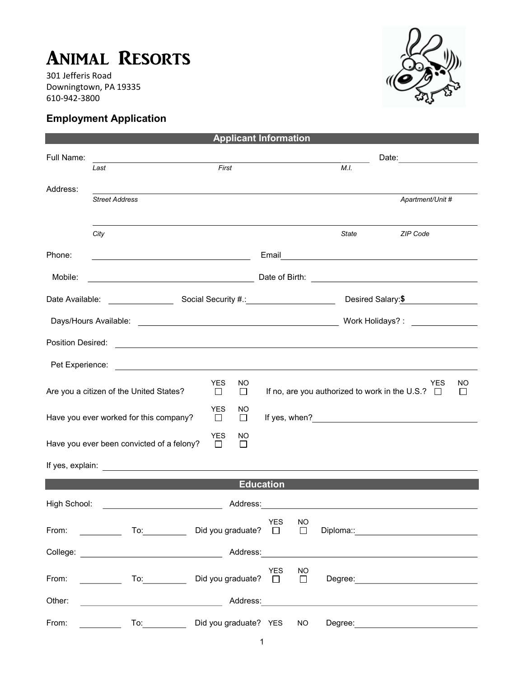## Animal Resorts

301 Jefferis Road Downingtown, PA 19335 610-942-3800

## Employment Application



|                   |                                                                          |                      | <b>Applicant Information</b> |                  |              |                                        |                                                                                                                                                                                                                                      |               |  |
|-------------------|--------------------------------------------------------------------------|----------------------|------------------------------|------------------|--------------|----------------------------------------|--------------------------------------------------------------------------------------------------------------------------------------------------------------------------------------------------------------------------------------|---------------|--|
| Full Name:        | <u> 1980 - Johann Barbara, martxa alemaniar a</u><br>First<br>Last       |                      |                              |                  |              | Date: ________________________<br>M.I. |                                                                                                                                                                                                                                      |               |  |
| Address:          | <b>Street Address</b>                                                    |                      |                              |                  |              |                                        | Apartment/Unit #                                                                                                                                                                                                                     |               |  |
|                   | City                                                                     |                      |                              |                  |              | State                                  | <b>ZIP Code</b>                                                                                                                                                                                                                      |               |  |
| Phone:            | <u> 1980 - Johann Barbara, martxa alemaniar a</u>                        |                      |                              |                  |              |                                        | Email <b>Exercise Contract Contract Contract Contract Contract Contract Contract Contract Contract Contract Contract Contract Contract Contract Contract Contract Contract Contract Contract Contract Contract Contract Contract</b> |               |  |
| Mobile:           | <u> 1989 - Johann Barbara, martxa alemaniar a</u>                        |                      |                              |                  |              |                                        |                                                                                                                                                                                                                                      |               |  |
|                   |                                                                          |                      |                              |                  |              |                                        | Desired Salary: \$                                                                                                                                                                                                                   |               |  |
|                   |                                                                          |                      |                              |                  |              |                                        |                                                                                                                                                                                                                                      |               |  |
| Position Desired: |                                                                          |                      |                              |                  |              |                                        | <u> Andreas Andreas Andreas Andreas Andreas Andreas Andreas Andreas Andreas Andreas Andreas Andreas Andreas Andr</u>                                                                                                                 |               |  |
|                   |                                                                          |                      |                              |                  |              |                                        |                                                                                                                                                                                                                                      |               |  |
|                   | Are you a citizen of the United States?                                  | <b>YES</b><br>$\Box$ | NO.<br>□                     |                  |              |                                        | YES<br>If no, are you authorized to work in the U.S.? $\Box$                                                                                                                                                                         | NO.<br>$\Box$ |  |
|                   | Have you ever worked for this company?                                   | <b>YES</b><br>□      | NO<br>$\Box$                 |                  |              |                                        |                                                                                                                                                                                                                                      |               |  |
|                   | Have you ever been convicted of a felony?                                | <b>YES</b><br>$\Box$ | NO.<br>$\Box$                |                  |              |                                        |                                                                                                                                                                                                                                      |               |  |
|                   |                                                                          |                      |                              |                  |              |                                        |                                                                                                                                                                                                                                      |               |  |
|                   |                                                                          |                      |                              | <b>Education</b> |              |                                        |                                                                                                                                                                                                                                      |               |  |
| High School:      |                                                                          |                      | Address:                     |                  |              |                                        |                                                                                                                                                                                                                                      |               |  |
| From:             | $\overline{\phantom{a}}$ . To: the set of $\overline{\phantom{a}}$ . To: |                      | Did you graduate? □          | YES              | NO<br>$\Box$ |                                        |                                                                                                                                                                                                                                      |               |  |
|                   |                                                                          |                      |                              |                  |              |                                        |                                                                                                                                                                                                                                      |               |  |
| From:             | To: $\overline{\phantom{a}}$<br><u> 1990 - Jan Jawa</u>                  |                      | Did you graduate? $\Box$     | YES              | NO<br>$\Box$ |                                        | Degree: <u>____________________________</u>                                                                                                                                                                                          |               |  |
| Other:            | <u> 1980 - Johann Barbara, martin d</u>                                  |                      | Address:                     |                  |              |                                        |                                                                                                                                                                                                                                      |               |  |
| From:             | $\overline{a}$ To: $\overline{a}$                                        |                      | Did you graduate? YES        |                  | NO.          | Degree:                                |                                                                                                                                                                                                                                      |               |  |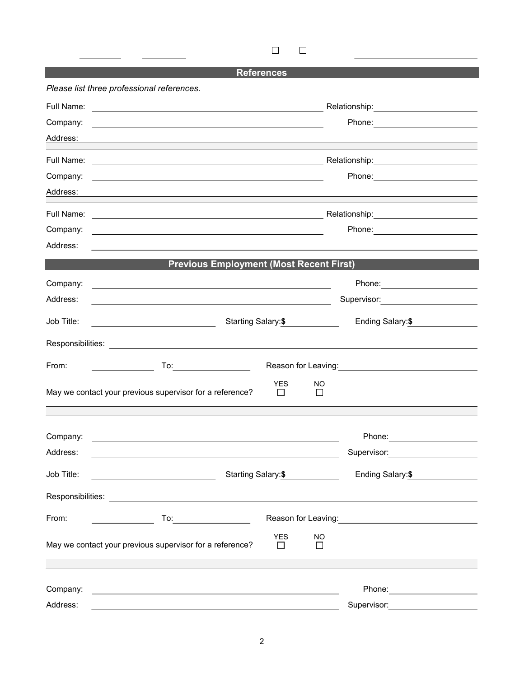$\Box$  $\Box$ 

## **References**

|                      | Please list three professional references.                                                                                                                                                                                                                                                                                                                                                  |                                                                                                                                                                                                                               |                     |                                                                                                                  |  |  |
|----------------------|---------------------------------------------------------------------------------------------------------------------------------------------------------------------------------------------------------------------------------------------------------------------------------------------------------------------------------------------------------------------------------------------|-------------------------------------------------------------------------------------------------------------------------------------------------------------------------------------------------------------------------------|---------------------|------------------------------------------------------------------------------------------------------------------|--|--|
| Full Name:           | <u> 1989 - Andrea Stadt Britain, marwolaeth a bhaile an t-Alban an t-Alban an t-Alban an t-Alban an t-Alban an t-</u>                                                                                                                                                                                                                                                                       |                                                                                                                                                                                                                               |                     | Relationship:_________________________                                                                           |  |  |
| Company:             | <u> 1989 - Johann John Stoff, deutscher Stoffen und der Stoffen und der Stoffen und der Stoffen und der Stoffen un</u>                                                                                                                                                                                                                                                                      |                                                                                                                                                                                                                               |                     | Phone: 2008 2010 2010 2010 2010 2011 2021 2022 2023 2024 2022 2023 2024 2022 2023 2024 2022 2023 2024 2025 20    |  |  |
| Address:             | <u> 1989 - Johann Stoff, amerikansk politiker (* 1908)</u>                                                                                                                                                                                                                                                                                                                                  |                                                                                                                                                                                                                               |                     |                                                                                                                  |  |  |
| Full Name:           | <u> 1980 - Andrea Station, amerikansk politik (d. 1980)</u>                                                                                                                                                                                                                                                                                                                                 |                                                                                                                                                                                                                               |                     |                                                                                                                  |  |  |
| Company:             |                                                                                                                                                                                                                                                                                                                                                                                             | <u> 1989 - Johann Barbara, marka a shekara ta 1989 - An tsara tsa a shekara tsa a shekara tsa a shekara tsa a sh</u>                                                                                                          |                     |                                                                                                                  |  |  |
| Address:             |                                                                                                                                                                                                                                                                                                                                                                                             |                                                                                                                                                                                                                               |                     |                                                                                                                  |  |  |
|                      |                                                                                                                                                                                                                                                                                                                                                                                             |                                                                                                                                                                                                                               |                     |                                                                                                                  |  |  |
| Company:             |                                                                                                                                                                                                                                                                                                                                                                                             | the control of the control of the control of the control of the control of the control of the control of the control of the control of the control of the control of the control of the control of the control of the control |                     |                                                                                                                  |  |  |
| Address:             |                                                                                                                                                                                                                                                                                                                                                                                             |                                                                                                                                                                                                                               |                     |                                                                                                                  |  |  |
|                      | <b>Previous Employment (Most Recent First)</b>                                                                                                                                                                                                                                                                                                                                              |                                                                                                                                                                                                                               |                     |                                                                                                                  |  |  |
| Company:             | <u> 1989 - Johann Stein, marwolaethau a bhann an t-Amhain ann an t-Amhain an t-Amhain an t-Amhain an t-Amhain an </u>                                                                                                                                                                                                                                                                       |                                                                                                                                                                                                                               |                     | Phone: ________________________                                                                                  |  |  |
| Address:             | the control of the control of the control of the control of the control of the control of the control of the control of the control of the control of the control of the control of the control of the control of the control                                                                                                                                                               |                                                                                                                                                                                                                               |                     | Supervisor: ________________________                                                                             |  |  |
| Job Title:           | <u> 1989 - Johann Barn, fransk politik (</u>                                                                                                                                                                                                                                                                                                                                                | Starting Salary:\$                                                                                                                                                                                                            |                     | Ending Salary:\$                                                                                                 |  |  |
|                      |                                                                                                                                                                                                                                                                                                                                                                                             |                                                                                                                                                                                                                               |                     |                                                                                                                  |  |  |
| From:                |                                                                                                                                                                                                                                                                                                                                                                                             |                                                                                                                                                                                                                               |                     | Reason for Leaving: <u>___________________________________</u>                                                   |  |  |
|                      | May we contact your previous supervisor for a reference?                                                                                                                                                                                                                                                                                                                                    | <b>YES</b><br>$\mathbf{L}$                                                                                                                                                                                                    | NO<br>$\perp$       |                                                                                                                  |  |  |
|                      |                                                                                                                                                                                                                                                                                                                                                                                             |                                                                                                                                                                                                                               |                     |                                                                                                                  |  |  |
| Company:<br>Address: | <u> 1989 - Johann Stoff, deutscher Stoffen und der Stoffen und der Stoffen und der Stoffen und der Stoffen und der</u>                                                                                                                                                                                                                                                                      |                                                                                                                                                                                                                               |                     | Phone: _______________________                                                                                   |  |  |
|                      | <u> 1989 - Johann Stoff, amerikansk politiker (* 1908)</u>                                                                                                                                                                                                                                                                                                                                  |                                                                                                                                                                                                                               |                     | Supervisor: Victor Control of Control Control Control Control Control Control Control Control Control Control Co |  |  |
| Job Title:           | <u> 1989 - Johann Barbara, martxa eta politikaria (h. 1908).</u>                                                                                                                                                                                                                                                                                                                            | Starting Salary:\$                                                                                                                                                                                                            |                     | Ending Salary:\$                                                                                                 |  |  |
|                      |                                                                                                                                                                                                                                                                                                                                                                                             |                                                                                                                                                                                                                               |                     |                                                                                                                  |  |  |
| From:                | $\begin{picture}(180,10) \put(0,0){\dashbox{0.5}(10,0){ }} \put(10,0){\circle{10}} \put(10,0){\circle{10}} \put(10,0){\circle{10}} \put(10,0){\circle{10}} \put(10,0){\circle{10}} \put(10,0){\circle{10}} \put(10,0){\circle{10}} \put(10,0){\circle{10}} \put(10,0){\circle{10}} \put(10,0){\circle{10}} \put(10,0){\circle{10}} \put(10,0){\circle{10}} \put(10,0){\circle{10}} \put(10$ |                                                                                                                                                                                                                               |                     |                                                                                                                  |  |  |
|                      | May we contact your previous supervisor for a reference?                                                                                                                                                                                                                                                                                                                                    | <b>YES</b><br>$\Box$                                                                                                                                                                                                          | <b>NO</b><br>$\Box$ |                                                                                                                  |  |  |
|                      |                                                                                                                                                                                                                                                                                                                                                                                             |                                                                                                                                                                                                                               |                     |                                                                                                                  |  |  |
| Company:             | <u> 1980 - Johann Barn, fransk politik (d. 1980)</u>                                                                                                                                                                                                                                                                                                                                        |                                                                                                                                                                                                                               |                     | Phone: ______________________                                                                                    |  |  |
| Address:             | <u> 1989 - Johann Barn, mars ann an t-Amhain Aonaich an t-Aonaich an t-Aonaich an t-Aonaich an t-Aonaich an t-Aon</u>                                                                                                                                                                                                                                                                       |                                                                                                                                                                                                                               |                     | Supervisor: _______________________                                                                              |  |  |